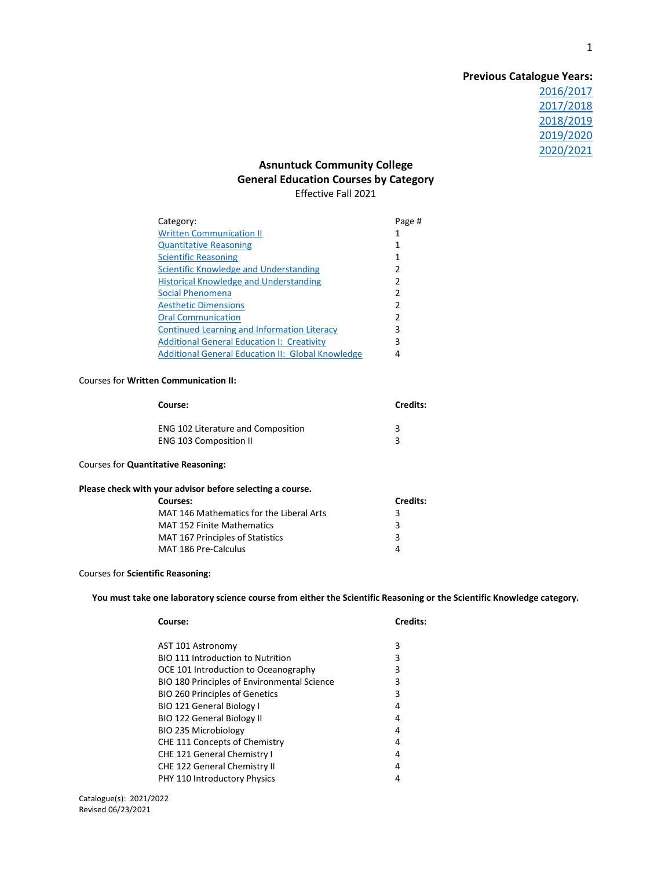# **Previous Catalogue Years:** [2016/2017](http://www.ct.edu/files/tap/ACC-TAPGenEd.2016.pdf) [2017/2018](http://www.ct.edu/files/tap/ACC-TAPGenEd.2017.pdf) [2018/2019](http://www.ct.edu/files/tap/ACC-TAPGenEd.2018.pdf) [2019/2020](http://www.ct.edu/files/tap/ACC-TAPGenEd.2019.pdf) [2020/2021](http://www.ct.edu/files/tap/ACC-TAPGenEd.2020.pdf)

# **Asnuntuck Community College General Education Courses by Category** Effective Fall 2021

| Category:                                                | Page # |
|----------------------------------------------------------|--------|
| <b>Written Communication II</b>                          |        |
| <b>Quantitative Reasoning</b>                            |        |
| <b>Scientific Reasoning</b>                              |        |
| Scientific Knowledge and Understanding                   | 2      |
| <b>Historical Knowledge and Understanding</b>            | 2      |
| Social Phenomena                                         | 2      |
| <b>Aesthetic Dimensions</b>                              | 2      |
| <b>Oral Communication</b>                                | 2      |
| Continued Learning and Information Literacy              | 3      |
| <b>Additional General Education I: Creativity</b>        | 3      |
| <b>Additional General Education II: Global Knowledge</b> | 4      |

### Courses for **Written Communication II:**

<span id="page-0-0"></span>

| <b>Credits:</b> |
|-----------------|
|                 |
|                 |
|                 |

### Courses for **Quantitative Reasoning:**

| Please check with your advisor before selecting a course. |  |
|-----------------------------------------------------------|--|
|                                                           |  |

<span id="page-0-1"></span>

| Courses:                                 | <b>Credits:</b> |
|------------------------------------------|-----------------|
| MAT 146 Mathematics for the Liberal Arts | з               |
| <b>MAT 152 Finite Mathematics</b>        | 3               |
| <b>MAT 167 Principles of Statistics</b>  | 3               |
| MAT 186 Pre-Calculus                     |                 |

## Courses for **Scientific Reasoning:**

**You must take one laboratory science course from either the Scientific Reasoning or the Scientific Knowledge category.**

<span id="page-0-2"></span>

| Course:                                     | <b>Credits:</b> |
|---------------------------------------------|-----------------|
| AST 101 Astronomy                           | 3               |
| <b>BIO 111 Introduction to Nutrition</b>    | 3               |
| OCE 101 Introduction to Oceanography        | 3               |
| BIO 180 Principles of Environmental Science | 3               |
| <b>BIO 260 Principles of Genetics</b>       | 3               |
| <b>BIO 121 General Biology I</b>            | 4               |
| <b>BIO 122 General Biology II</b>           | 4               |
| <b>BIO 235 Microbiology</b>                 | 4               |
| CHE 111 Concepts of Chemistry               | 4               |
| <b>CHE 121 General Chemistry I</b>          | 4               |
| <b>CHE 122 General Chemistry II</b>         | 4               |
| PHY 110 Introductory Physics                | 4               |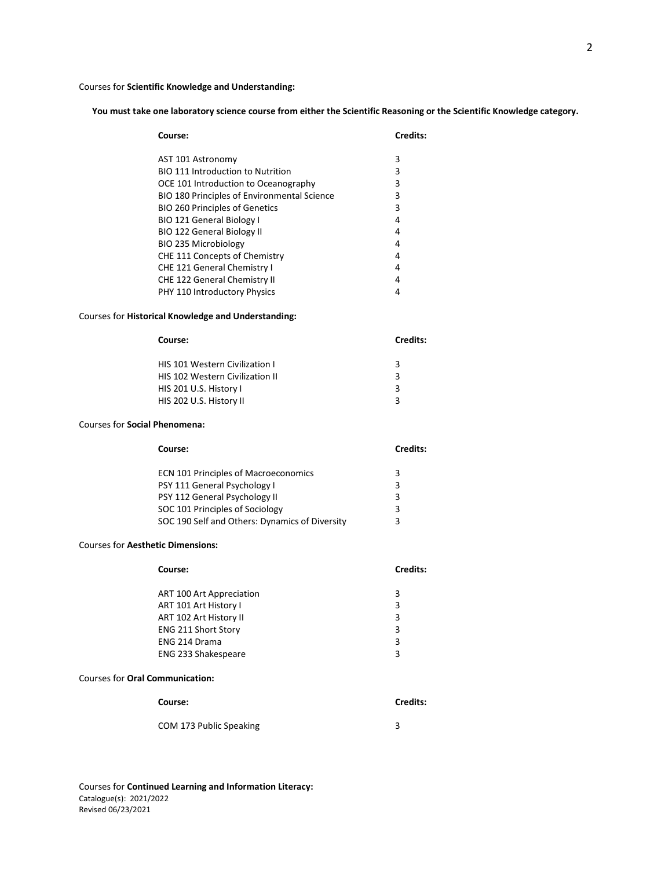#### Courses for **Scientific Knowledge and Understanding:**

**You must take one laboratory science course from either the Scientific Reasoning or the Scientific Knowledge category.**

<span id="page-1-0"></span>

| Course:                                     | <b>Credits:</b> |
|---------------------------------------------|-----------------|
| AST 101 Astronomy                           | 3               |
| <b>BIO 111 Introduction to Nutrition</b>    | 3               |
| OCE 101 Introduction to Oceanography        | 3               |
| BIO 180 Principles of Environmental Science | 3               |
| <b>BIO 260 Principles of Genetics</b>       | 3               |
| <b>BIO 121 General Biology I</b>            | 4               |
| <b>BIO 122 General Biology II</b>           | 4               |
| <b>BIO 235 Microbiology</b>                 | 4               |
| CHE 111 Concepts of Chemistry               | 4               |
| CHE 121 General Chemistry I                 | 4               |
| <b>CHE 122 General Chemistry II</b>         | 4               |
| PHY 110 Introductory Physics                | 4               |

#### Courses for **Historical Knowledge and Understanding:**

<span id="page-1-1"></span>

| Course:                                | <b>Credits:</b> |
|----------------------------------------|-----------------|
| <b>HIS 101 Western Civilization I</b>  | 3               |
| <b>HIS 102 Western Civilization II</b> | 3               |
| HIS 201 U.S. History I                 | 3               |
| HIS 202 U.S. History II                | з               |
|                                        |                 |

#### Courses for **Social Phenomena:**

<span id="page-1-2"></span>

| Course:                                        | Credits: |
|------------------------------------------------|----------|
| ECN 101 Principles of Macroeconomics           | 3        |
| PSY 111 General Psychology I                   | 3        |
| PSY 112 General Psychology II                  | 3        |
| SOC 101 Principles of Sociology                | 3        |
| SOC 190 Self and Others: Dynamics of Diversity | ς        |

#### Courses for **Aesthetic Dimensions:**

<span id="page-1-3"></span>

| Course:                    | Credits: |
|----------------------------|----------|
| ART 100 Art Appreciation   | 3        |
| ART 101 Art History I      | 3        |
| ART 102 Art History II     | 3        |
| <b>ENG 211 Short Story</b> | 3        |
| ENG 214 Drama              | 3        |
| ENG 233 Shakespeare        | 3        |
|                            |          |

#### Courses for **Oral Communication:**

<span id="page-1-4"></span>

| Course:                 | <b>Credits:</b> |
|-------------------------|-----------------|
| COM 173 Public Speaking |                 |

Catalogue(s): 2021/2022 Revised 06/23/2021 Courses for **Continued Learning and Information Literacy:**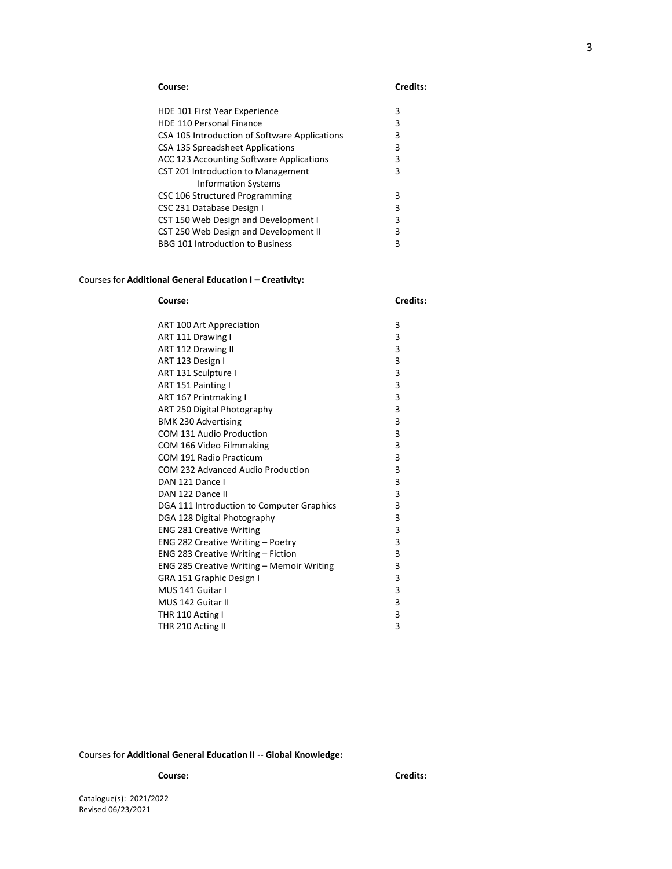<span id="page-2-0"></span>

| HDE 101 First Year Experience                   | з |
|-------------------------------------------------|---|
| <b>HDE 110 Personal Finance</b>                 | 3 |
| CSA 105 Introduction of Software Applications   | З |
| CSA 135 Spreadsheet Applications                | 3 |
| <b>ACC 123 Accounting Software Applications</b> | 3 |
| CST 201 Introduction to Management              | 3 |
| <b>Information Systems</b>                      |   |
| CSC 106 Structured Programming                  | 3 |
| CSC 231 Database Design I                       | 3 |
| CST 150 Web Design and Development I            | 3 |
| CST 250 Web Design and Development II           | 3 |
| <b>BBG 101 Introduction to Business</b>         |   |

# <span id="page-2-1"></span>Courses for **Additional General Education I – Creativity:**

| Course:                                   | Credits: |
|-------------------------------------------|----------|
| ART 100 Art Appreciation                  | 3        |
| ART 111 Drawing I                         | 3        |
| ART 112 Drawing II                        | 3        |
| ART 123 Design I                          | 3        |
| ART 131 Sculpture I                       | 3        |
| ART 151 Painting I                        | 3        |
| ART 167 Printmaking I                     | 3        |
| ART 250 Digital Photography               | 3        |
| <b>BMK 230 Advertising</b>                | 3        |
| COM 131 Audio Production                  | 3        |
| COM 166 Video Filmmaking                  | 3        |
| COM 191 Radio Practicum                   | 3        |
| COM 232 Advanced Audio Production         | 3        |
| DAN 121 Dance I                           | 3        |
| DAN 122 Dance II                          | 3        |
| DGA 111 Introduction to Computer Graphics | 3        |
| DGA 128 Digital Photography               | 3        |
| <b>ENG 281 Creative Writing</b>           | 3        |
| ENG 282 Creative Writing - Poetry         | 3        |
| ENG 283 Creative Writing - Fiction        | 3        |
| ENG 285 Creative Writing - Memoir Writing | 3        |
| GRA 151 Graphic Design I                  | 3        |
| MUS 141 Guitar I                          | 3        |
| MUS 142 Guitar II                         | 3        |
| THR 110 Acting I                          | 3        |
| THR 210 Acting II                         | 3        |

<span id="page-2-2"></span>Courses for **Additional General Education II -- Global Knowledge:**

Catalogue(s): 2021/2022 Revised 06/23/2021